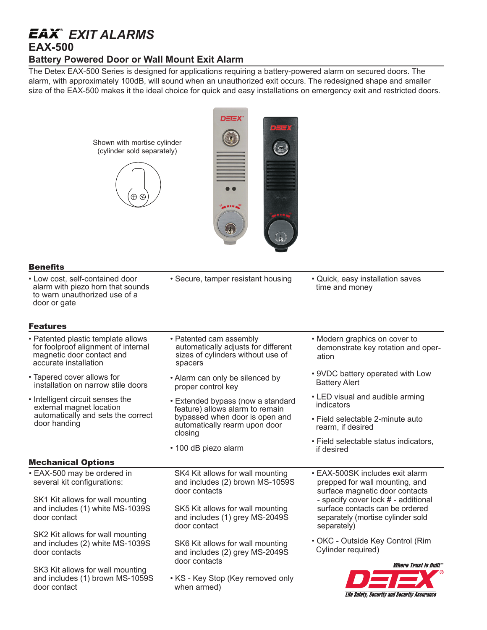## *EXIT ALARMS*

## **EAX-500**

## **Battery Powered Door or Wall Mount Exit Alarm**

The Detex EAX-500 Series is designed for applications requiring a battery-powered alarm on secured doors. The alarm, with approximately 100dB, will sound when an unauthorized exit occurs. The redesigned shape and smaller size of the EAX-500 makes it the ideal choice for quick and easy installations on emergency exit and restricted doors.

| Shown with mortise cylinder<br>(cylinder sold separately)<br>$\oplus$ $\oplus$                                                  | DETEX*                                                                                                                                             |                                                                                                                            |
|---------------------------------------------------------------------------------------------------------------------------------|----------------------------------------------------------------------------------------------------------------------------------------------------|----------------------------------------------------------------------------------------------------------------------------|
| <b>Benefits</b>                                                                                                                 |                                                                                                                                                    |                                                                                                                            |
| • Low cost, self-contained door<br>alarm with piezo horn that sounds<br>to warn unauthorized use of a<br>door or gate           | • Secure, tamper resistant housing                                                                                                                 | • Quick, easy installation saves<br>time and money                                                                         |
| <b>Features</b>                                                                                                                 |                                                                                                                                                    |                                                                                                                            |
| • Patented plastic template allows<br>for foolproof alignment of internal<br>magnetic door contact and<br>accurate installation | • Patented cam assembly<br>automatically adjusts for different<br>sizes of cylinders without use of<br>spacers                                     | • Modern graphics on cover to<br>demonstrate key rotation and oper-<br>ation                                               |
| • Tapered cover allows for<br>installation on narrow stile doors                                                                | • Alarm can only be silenced by<br>proper control key                                                                                              | • 9VDC battery operated with Low<br><b>Battery Alert</b>                                                                   |
| • Intelligent circuit senses the<br>external magnet location<br>automatically and sets the correct<br>door handing              | • Extended bypass (now a standard<br>feature) allows alarm to remain<br>bypassed when door is open and<br>automatically rearm upon door<br>closing | • LED visual and audible arming<br>indicators                                                                              |
|                                                                                                                                 |                                                                                                                                                    | • Field selectable 2-minute auto<br>rearm, if desired                                                                      |
|                                                                                                                                 | • 100 dB piezo alarm                                                                                                                               | • Field selectable status indicators,<br>if desired                                                                        |
| <b>Mechanical Options</b>                                                                                                       |                                                                                                                                                    |                                                                                                                            |
| • EAX-500 may be ordered in<br>several kit configurations:                                                                      | SK4 Kit allows for wall mounting<br>and includes (2) brown MS-1059S<br>door contacts                                                               | • EAX-500SK includes exit alarm<br>prepped for wall mounting, and<br>surface magnetic door contacts                        |
| SK1 Kit allows for wall mounting<br>and includes (1) white MS-1039S<br>door contact                                             | SK5 Kit allows for wall mounting<br>and includes (1) grey MS-2049S<br>door contact                                                                 | - specify cover lock # - additional<br>surface contacts can be ordered<br>separately (mortise cylinder sold<br>separately) |
| SK2 Kit allows for wall mounting<br>and includes (2) white MS-1039S<br>door contacts                                            | SK6 Kit allows for wall mounting<br>and includes (2) grey MS-2049S<br>door contacts                                                                | • OKC - Outside Key Control (Rim<br>Cylinder required)                                                                     |
| SK3 Kit allows for wall mounting<br>and includes (1) brown MS-1059S<br>door contact                                             | • KS - Key Stop (Key removed only<br>when armed)                                                                                                   | Where Trust is Built $\tilde{}$<br>Life Safety, Security and Security Assurance                                            |